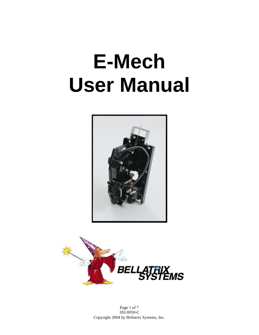# **E-Mech User Manual**





Page 1 of 7 182-0050-C Copyright 2004 by Bellatrix Systems, Inc.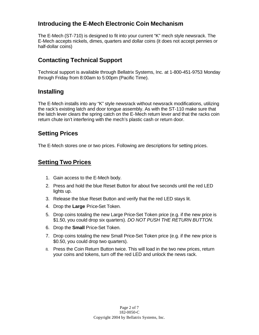### **Introducing the E-Mech Electronic Coin Mechanism**

The E-Mech (ST-710) is designed to fit into your current "K" mech style newsrack. The E-Mech accepts nickels, dimes, quarters and dollar coins (it does not accept pennies or half-dollar coins)

### **Contacting Technical Support**

Technical support is available through Bellatrix Systems, Inc. at 1-800-451-9753 Monday through Friday from 8:00am to 5:00pm (Pacific Time).

#### **Installing**

The E-Mech installs into any "K" style newsrack without newsrack modifications, utilizing the rack's existing latch and door tongue assembly. As with the ST-110 make sure that the latch lever clears the spring catch on the E-Mech return lever and that the racks coin return chute isn't interfering with the mech's plastic cash or return door.

#### **Setting Prices**

The E-Mech stores one or two prices. Following are descriptions for setting prices.

#### **Setting Two Prices**

- 1. Gain access to the E-Mech body.
- 2. Press and hold the blue Reset Button for about five seconds until the red LED lights up.
- 3. Release the blue Reset Button and verify that the red LED stays lit.
- 4. Drop the **Large** Price-Set Token.
- 5. Drop coins totaling the new Large Price-Set Token price (e.g. if the new price is \$1.50, you could drop six quarters). *DO NOT PUSH THE RETURN BUTTON*.
- 6. Drop the **Small** Price-Set Token.
- 7. Drop coins totaling the new Small Price-Set Token price (e.g. if the new price is \$0.50, you could drop two quarters).
- 8. Press the Coin Return Button twice. This will load in the two new prices, return your coins and tokens, turn off the red LED and unlock the news rack.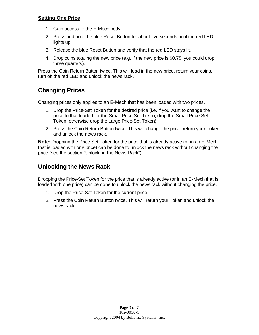#### **Setting One Price**

- 1. Gain access to the E-Mech body.
- 2. Press and hold the blue Reset Button for about five seconds until the red LED lights up.
- 3. Release the blue Reset Button and verify that the red LED stays lit.
- 4. Drop coins totaling the new price (e.g. if the new price is \$0.75, you could drop three quarters).

Press the Coin Return Button twice. This will load in the new price, return your coins, turn off the red LED and unlock the news rack.

### **Changing Prices**

Changing prices only applies to an E-Mech that has been loaded with two prices.

- 1. Drop the Price-Set Token for the desired price (i.e. if you want to change the price to that loaded for the Small Price-Set Token, drop the Small Price-Set Token; otherwise drop the Large Price-Set Token).
- 2. Press the Coin Return Button twice. This will change the price, return your Token and unlock the news rack.

**Note:** Dropping the Price-Set Token for the price that is already active (or in an E-Mech that is loaded with one price) can be done to unlock the news rack without changing the price (see the section "Unlocking the News Rack").

### **Unlocking the News Rack**

Dropping the Price-Set Token for the price that is already active (or in an E-Mech that is loaded with one price) can be done to unlock the news rack without changing the price.

- 1. Drop the Price-Set Token for the current price.
- 2. Press the Coin Return Button twice. This will return your Token and unlock the news rack.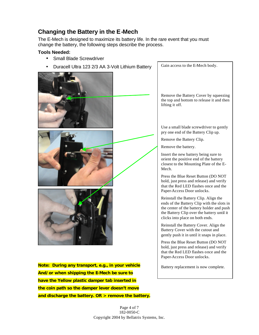## **Changing the Battery in the E-Mech**

The E-Mech is designed to maximize its battery life. In the rare event that you must change the battery, the following steps describe the process.

#### **Tools Needed:**

- Small Blade Screwdriver
- Duracell Ultra 123 2/3 AA 3-Volt Lithium Battery

**Note: During any transport, e.g., in your vehicle And/or when shipping the E-Mech be sure to have the Yellow plastic damper tab inserted in the coin path so the damper lever doesn't move and discharge the battery. OR > remove the battery.**

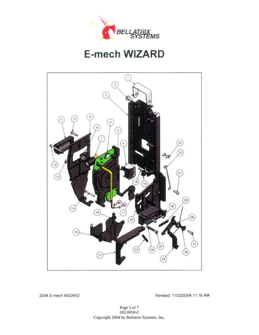

## **E-mech WIZARD**



2004 E-mech WIZARD

Revised: 11/22/2004 11:16 AM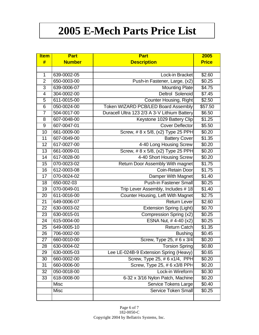# **2005 E-Mech Parts Price List**

| <b>Item</b>     | <b>Part</b>   | <b>Part</b>                                  | 2005         |
|-----------------|---------------|----------------------------------------------|--------------|
| #               | <b>Number</b> | <b>Description</b>                           | <b>Price</b> |
|                 |               |                                              |              |
| $\mathbf{1}$    | 639-0002-05   | Lock-in Bracket                              | \$2.60       |
| $\overline{2}$  | 650-0003-00   | Push-in Fastener, Large, (x2)                | \$0.25       |
| $\overline{3}$  | 639-0006-07   | <b>Mounting Plate</b>                        | \$4.75       |
| $\overline{4}$  | 304-0002-00   | Deltrol Solenoid                             | \$7.45       |
| $\overline{5}$  | 611-0015-00   | <b>Counter Housing, Right</b>                | \$2.50       |
| 6               | 050-0024-00   | <b>Token WIZARD PCB/LED Board Assembly</b>   | \$57.50      |
| $\overline{7}$  | 504-0017-00   | Duracell Ultra 123 2/3 A 3-V Lithium Battery | \$6.50       |
| 8               | 607-0048-00   | Keystone 1029 Battery Clip                   | \$1.25       |
| 9               | 607-0047-01   | <b>Cover Deflector</b>                       | \$5.50       |
| 10              | 661-0009-00   | Screw, #8 x 5/8, (x2) Type 25 PPH            | \$0.20       |
| 11              | 607-0049-00   | <b>Battery Cover</b>                         | \$1.35       |
| 12              | 617-0027-00   | 4-40 Long Housing Screw                      | \$0.20       |
| $\overline{13}$ | 661-0009-01   | Screw, #8 x 5/8, (x2) Type 25 PPH            | \$0.20       |
| 14              | 617-0028-00   | 4-40 Short Housing Screw                     | \$0.20       |
| $\overline{15}$ | 070-0023-02   | Return Door Assembly With magnet             | \$1.75       |
| 16              | 612-0003-08   | Coin-Retain Door                             | \$1.75       |
| 17              | 070-0024-02   | Damper With Magnet                           | \$1.40       |
| 18              | 650-002-03    | <b>Push-in Fastener Small</b>                | \$0.25       |
| 19              | 070-0049-01   | Trip Lever Assembly, Includes #18            | \$1.40       |
| 20              | 611-0016-00   | Counter Housing, Left With Magnet            | \$2.75       |
| 21              | 649-0006-07   | <b>Return Lever</b>                          | \$2.60       |
| 22              | 630-0003-02   | <b>Extension Spring (Light)</b>              | \$0.70       |
| 23              | 630-0015-01   | Compression Spring (x2)                      | \$0.25       |
| 24              | 615-0004-00   | ESNA Nut, #4-40 (x2)                         | \$0.25       |
| 25              | 649-0005-10   | <b>Return Catch</b>                          | \$1.35       |
| 26              | 706-0002-00   | <b>Bushing</b>                               | \$0.45       |
| 27              | 660-0010-00   | Screw, Type 25, #6 x 3/4                     | \$0.20       |
| 28              | 630-0004-02   | <b>Torsion Spring</b>                        | \$0.80       |
| 29              | 630-0005-03   | Lee LE-024B-9 Extension Spring (Heavy)       | \$0.65       |
| 30              | 660-0002-00   | Screw, Type 25, # 6 x1/4, PPH                | \$0.20       |
| 31              | 660-0006-00   | Screw, Type 25, #6 x3/8 PPH                  | \$0.20       |
| 32              | 050-0018-00   | Lock-in Wireform                             | \$0.30       |
| 33              | 618-0008-00   | 6-32 x 3/16 Nylon Patch, Machine             | \$0.20       |
|                 | <b>Misc</b>   | <b>Service Tokens Large</b>                  | \$0.40       |
|                 | Misc          | Service Token Small                          | \$0.25       |
|                 |               |                                              |              |